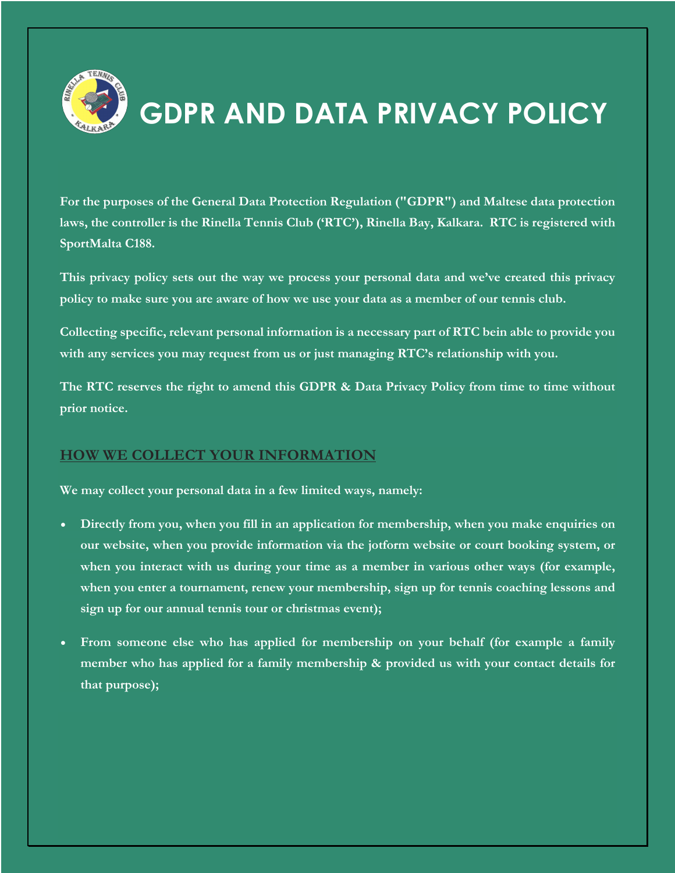

# **GDPR AND DATA PRIVACY POLICY**

**For the purposes of the General Data Protection Regulation ("GDPR") and Maltese data protection laws, the controller is the Rinella Tennis Club ('RTC'), Rinella Bay, Kalkara. RTC is registered with SportMalta C188.**

**This privacy policy sets out the way we process your personal data and we've created this privacy policy to make sure you are aware of how we use your data as a member of our tennis club.** 

**Collecting specific, relevant personal information is a necessary part of RTC bein able to provide you with any services you may request from us or just managing RTC's relationship with you.** 

**The RTC reserves the right to amend this GDPR & Data Privacy Policy from time to time without prior notice.** 

## **HOW WE COLLECT YOUR INFORMATION**

**We may collect your personal data in a few limited ways, namely:**

- **Directly from you, when you fill in an application for membership, when you make enquiries on our website, when you provide information via the jotform website or court booking system, or when you interact with us during your time as a member in various other ways (for example, when you enter a tournament, renew your membership, sign up for tennis coaching lessons and sign up for our annual tennis tour or christmas event);**
- **From someone else who has applied for membership on your behalf (for example a family member who has applied for a family membership & provided us with your contact details for that purpose);**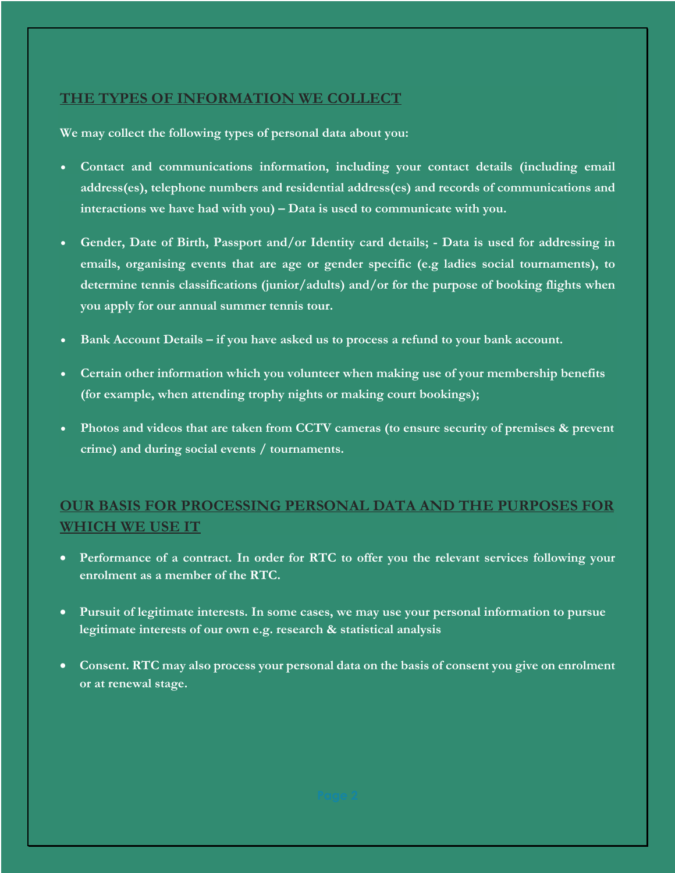## **THE TYPES OF INFORMATION WE COLLECT**

**We may collect the following types of personal data about you:**

- **Contact and communications information, including your contact details (including email address(es), telephone numbers and residential address(es) and records of communications and interactions we have had with you) – Data is used to communicate with you.**
- **Gender, Date of Birth, Passport and/or Identity card details; - Data is used for addressing in emails, organising events that are age or gender specific (e.g ladies social tournaments), to determine tennis classifications (junior/adults) and/or for the purpose of booking flights when you apply for our annual summer tennis tour.**
- **Bank Account Details – if you have asked us to process a refund to your bank account.**
- **Certain other information which you volunteer when making use of your membership benefits (for example, when attending trophy nights or making court bookings);**
- **Photos and videos that are taken from CCTV cameras (to ensure security of premises & prevent crime) and during social events / tournaments.**

# **OUR BASIS FOR PROCESSING PERSONAL DATA AND THE PURPOSES FOR WHICH WE USE IT**

- **Performance of a contract. In order for RTC to offer you the relevant services following your enrolment as a member of the RTC.**
- **Pursuit of legitimate interests. In some cases, we may use your personal information to pursue legitimate interests of our own e.g. research & statistical analysis**
- **Consent. RTC may also process your personal data on the basis of consent you give on enrolment or at renewal stage.**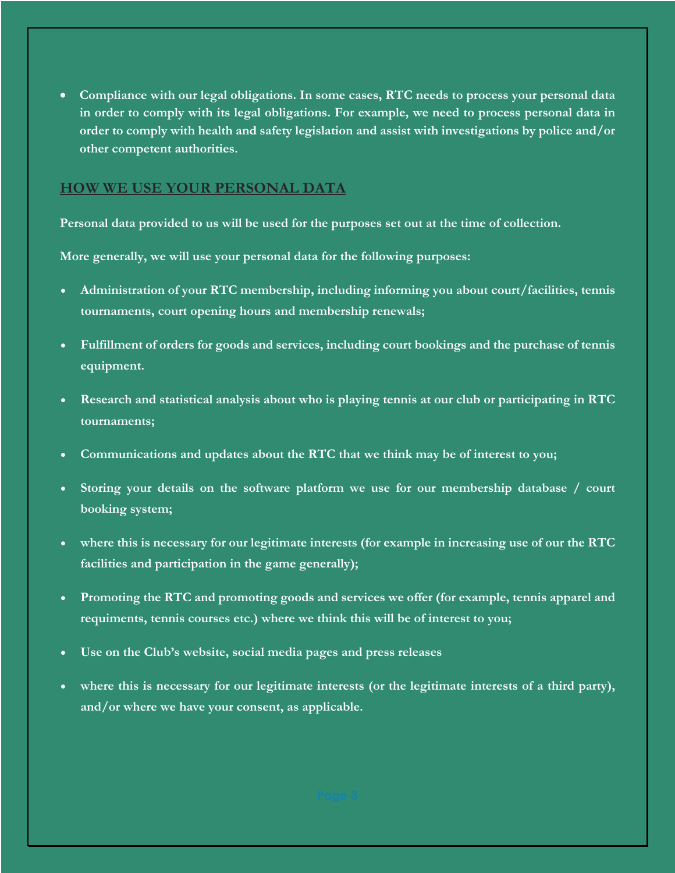• **Compliance with our legal obligations. In some cases, RTC needs to process your personal data in order to comply with its legal obligations. For example, we need to process personal data in order to comply with health and safety legislation and assist with investigations by police and/or other competent authorities.**

#### **HOW WE USE YOUR PERSONAL DATA**

**Personal data provided to us will be used for the purposes set out at the time of collection.**

**More generally, we will use your personal data for the following purposes:**

- **Administration of your RTC membership, including informing you about court/facilities, tennis tournaments, court opening hours and membership renewals;**
- **Fulfillment of orders for goods and services, including court bookings and the purchase of tennis equipment.**
- **Research and statistical analysis about who is playing tennis at our club or participating in RTC tournaments;**
- **Communications and updates about the RTC that we think may be of interest to you;**
- **Storing your details on the software platform we use for our membership database / court booking system;**
- **where this is necessary for our legitimate interests (for example in increasing use of our the RTC facilities and participation in the game generally);**
- **Promoting the RTC and promoting goods and services we offer (for example, tennis apparel and requiments, tennis courses etc.) where we think this will be of interest to you;**
- **Use on the Club's website, social media pages and press releases**
- where this is necessary for our legitimate interests (or the legitimate interests of a third party), **and/or where we have your consent, as applicable.**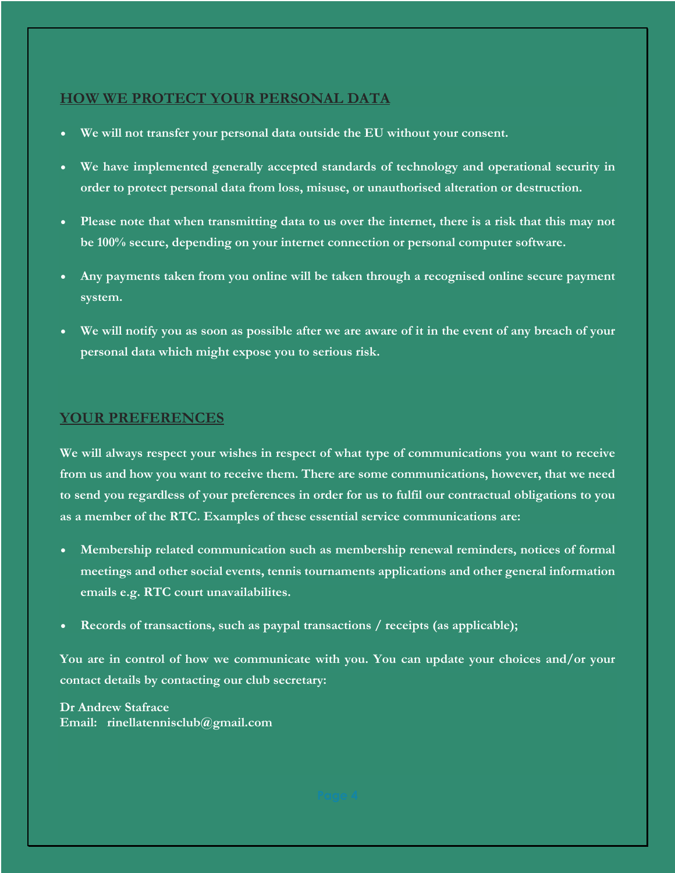#### **HOW WE PROTECT YOUR PERSONAL DATA**

- **We will not transfer your personal data outside the EU without your consent.**
- **We have implemented generally accepted standards of technology and operational security in order to protect personal data from loss, misuse, or unauthorised alteration or destruction.**
- **Please note that when transmitting data to us over the internet, there is a risk that this may not be 100% secure, depending on your internet connection or personal computer software.**
- **Any payments taken from you online will be taken through a recognised online secure payment system.**
- **We will notify you as soon as possible after we are aware of it in the event of any breach of your personal data which might expose you to serious risk.**

#### **YOUR PREFERENCES**

**We will always respect your wishes in respect of what type of communications you want to receive from us and how you want to receive them. There are some communications, however, that we need to send you regardless of your preferences in order for us to fulfil our contractual obligations to you as a member of the RTC. Examples of these essential service communications are:**

- **Membership related communication such as membership renewal reminders, notices of formal meetings and other social events, tennis tournaments applications and other general information emails e.g. RTC court unavailabilites.**
- **Records of transactions, such as paypal transactions / receipts (as applicable);**

**You are in control of how we communicate with you. You can update your choices and/or your contact details by contacting our club secretary:**

**Dr Andrew Stafrace Email: rinellatennisclub@gmail.com**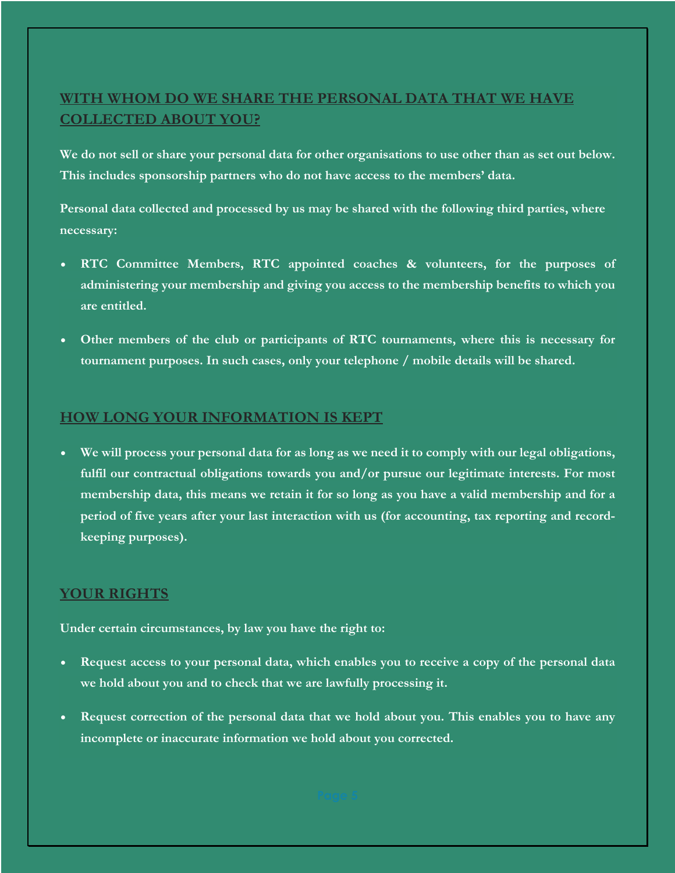# **WITH WHOM DO WE SHARE THE PERSONAL DATA THAT WE HAVE COLLECTED ABOUT YOU?**

**We do not sell or share your personal data for other organisations to use other than as set out below. This includes sponsorship partners who do not have access to the members' data.** 

**Personal data collected and processed by us may be shared with the following third parties, where necessary:**

- **RTC Committee Members, RTC appointed coaches & volunteers, for the purposes of administering your membership and giving you access to the membership benefits to which you are entitled.**
- **Other members of the club or participants of RTC tournaments, where this is necessary for tournament purposes. In such cases, only your telephone / mobile details will be shared.**

#### **HOW LONG YOUR INFORMATION IS KEPT**

• **We will process your personal data for as long as we need it to comply with our legal obligations, fulfil our contractual obligations towards you and/or pursue our legitimate interests. For most membership data, this means we retain it for so long as you have a valid membership and for a period of five years after your last interaction with us (for accounting, tax reporting and recordkeeping purposes).**

#### **YOUR RIGHTS**

**Under certain circumstances, by law you have the right to:**

- **Request access to your personal data, which enables you to receive a copy of the personal data we hold about you and to check that we are lawfully processing it.**
- **Request correction of the personal data that we hold about you. This enables you to have any incomplete or inaccurate information we hold about you corrected.**